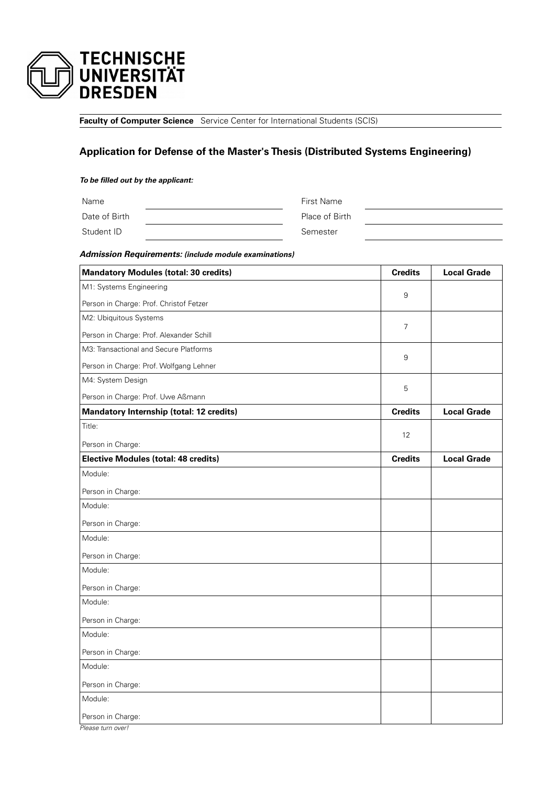

**Faculty of Computer Science** Service Center for International Students (SCIS)

# **Application for Defense of the Master's Thesis (Distributed Systems Engineering)**

#### **To be filled out by the applicant:**

Name First Name Date of Birth Place of Birth Student ID Semester

**Admission Requirements: (include module examinations)**

| <b>Mandatory Modules (total: 30 credits)</b> | <b>Credits</b> | <b>Local Grade</b> |
|----------------------------------------------|----------------|--------------------|
| M1: Systems Engineering                      | 9              |                    |
| Person in Charge: Prof. Christof Fetzer      |                |                    |
| M2: Ubiquitous Systems                       | 7              |                    |
| Person in Charge: Prof. Alexander Schill     |                |                    |
| M3: Transactional and Secure Platforms       |                |                    |
| Person in Charge: Prof. Wolfgang Lehner      | 9              |                    |
| M4: System Design                            |                |                    |
| Person in Charge: Prof. Uwe Aßmann           | 5              |                    |
| Mandatory Internship (total: 12 credits)     | <b>Credits</b> | <b>Local Grade</b> |
| Title:                                       |                |                    |
| Person in Charge:                            | 12             |                    |
| <b>Elective Modules (total: 48 credits)</b>  | <b>Credits</b> | <b>Local Grade</b> |
| Module:                                      |                |                    |
| Person in Charge:                            |                |                    |
| Module:                                      |                |                    |
| Person in Charge:                            |                |                    |
| Module:                                      |                |                    |
| Person in Charge:                            |                |                    |
| Module:                                      |                |                    |
| Person in Charge:                            |                |                    |
| Module:                                      |                |                    |
| Person in Charge:                            |                |                    |
| Module:                                      |                |                    |
| Person in Charge:                            |                |                    |
| Module:                                      |                |                    |
| Person in Charge:                            |                |                    |
| Module:                                      |                |                    |
| Person in Charge:                            |                |                    |
| Please turn over!                            |                |                    |